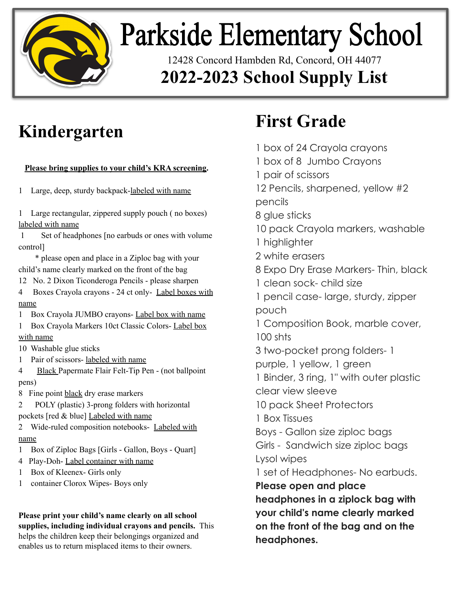

## **Parkside Elementary School**

12428 Concord Hambden Rd, Concord, OH 44077 **2022-2023 School Supply List**

#### **Kindergarten**

#### **Please bring supplies to your child's KRA screening.**

1 Large, deep, sturdy backpack-labeled with name

1 Large rectangular, zippered supply pouch ( no boxes) labeled with name

 1 Set of headphones [no earbuds or ones with volume control]

 \* please open and place in a Ziploc bag with your child's name clearly marked on the front of the bag

12 No. 2 Dixon Ticonderoga Pencils - please sharpen

4 Boxes Crayola crayons - 24 ct only- Label boxes with name

1 Box Crayola JUMBO crayons- Label box with name

1 Box Crayola Markers 10ct Classic Colors- Label box with name

10 Washable glue sticks

1 Pair of scissors- labeled with name

4 Black Papermate Flair Felt-Tip Pen - (not ballpoint pens)

8 Fine point black dry erase markers

2 POLY (plastic) 3-prong folders with horizontal pockets [red & blue] Labeled with name

2 Wide-ruled composition notebooks- Labeled with name

- 1 Box of Ziploc Bags [Girls Gallon, Boys Quart]
- 4 Play-Doh- Label container with name
- 1 Box of Kleenex- Girls only
- 1 container Clorox Wipes- Boys only

**Please print your child's name clearly on all school supplies, including individual crayons and pencils.** This helps the children keep their belongings organized and enables us to return misplaced items to their owners.

### **First Grade**

1 box of 24 Crayola crayons 1 box of 8 Jumbo Crayons 1 pair of scissors 12 Pencils, sharpened, yellow #2 pencils 8 glue sticks 10 pack Crayola markers, washable 1 highlighter 2 white erasers 8 Expo Dry Erase Markers- Thin, black 1 clean sock- child size 1 pencil case- large, sturdy, zipper pouch 1 Composition Book, marble cover, 100 shts 3 two-pocket prong folders- 1 purple, 1 yellow, 1 green 1 Binder, 3 ring, 1" with outer plastic clear view sleeve 10 pack Sheet Protectors 1 Box Tissues Boys - Gallon size ziploc bags Girls - Sandwich size ziploc bags Lysol wipes 1 set of Headphones- No earbuds. **Please open and place headphones in a ziplock bag with your child's name clearly marked on the front of the bag and on the headphones.**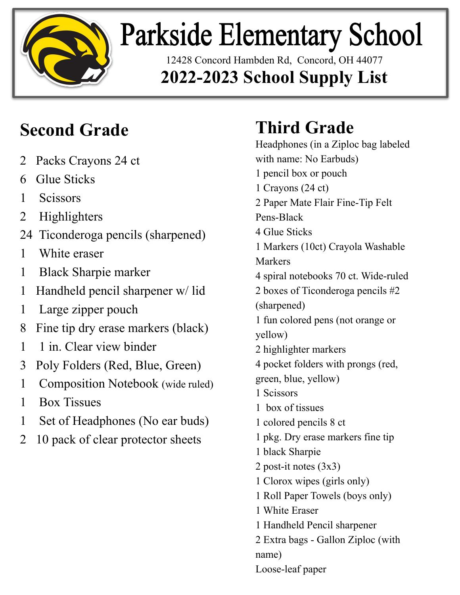

# **Parkside Elementary School**

12428 Concord Hambden Rd, Concord, OH 44077 **2022-2023 School Supply List**

#### **Second Grade**

- 2 Packs Crayons 24 ct
- 6 Glue Sticks
- 1 Scissors
- 2 Highlighters
- 24 Ticonderoga pencils (sharpened)
- 1 White eraser
- 1 Black Sharpie marker
- 1 Handheld pencil sharpener w/ lid
- 1 Large zipper pouch
- 8 Fine tip dry erase markers (black)
- 1 1 in. Clear view binder
- 3 Poly Folders (Red, Blue, Green)
- 1 Composition Notebook (wide ruled)
- 1 Box Tissues
- 1 Set of Headphones (No ear buds)
- 2 10 pack of clear protector sheets

### **Third Grade**

Headphones (in a Ziploc bag labeled with name: No Earbuds) 1 pencil box or pouch 1 Crayons (24 ct) 2 Paper Mate Flair Fine-Tip Felt Pens-Black 4 Glue Sticks 1 Markers (10ct) Crayola Washable Markers 4 spiral notebooks 70 ct. Wide-ruled 2 boxes of Ticonderoga pencils #2 (sharpened) 1 fun colored pens (not orange or yellow) 2 highlighter markers 4 pocket folders with prongs (red, green, blue, yellow) 1 Scissors 1 box of tissues 1 colored pencils 8 ct 1 pkg. Dry erase markers fine tip 1 black Sharpie 2 post-it notes (3x3) 1 Clorox wipes (girls only) 1 Roll Paper Towels (boys only) 1 White Eraser 1 Handheld Pencil sharpener 2 Extra bags - Gallon Ziploc (with name) Loose-leaf paper